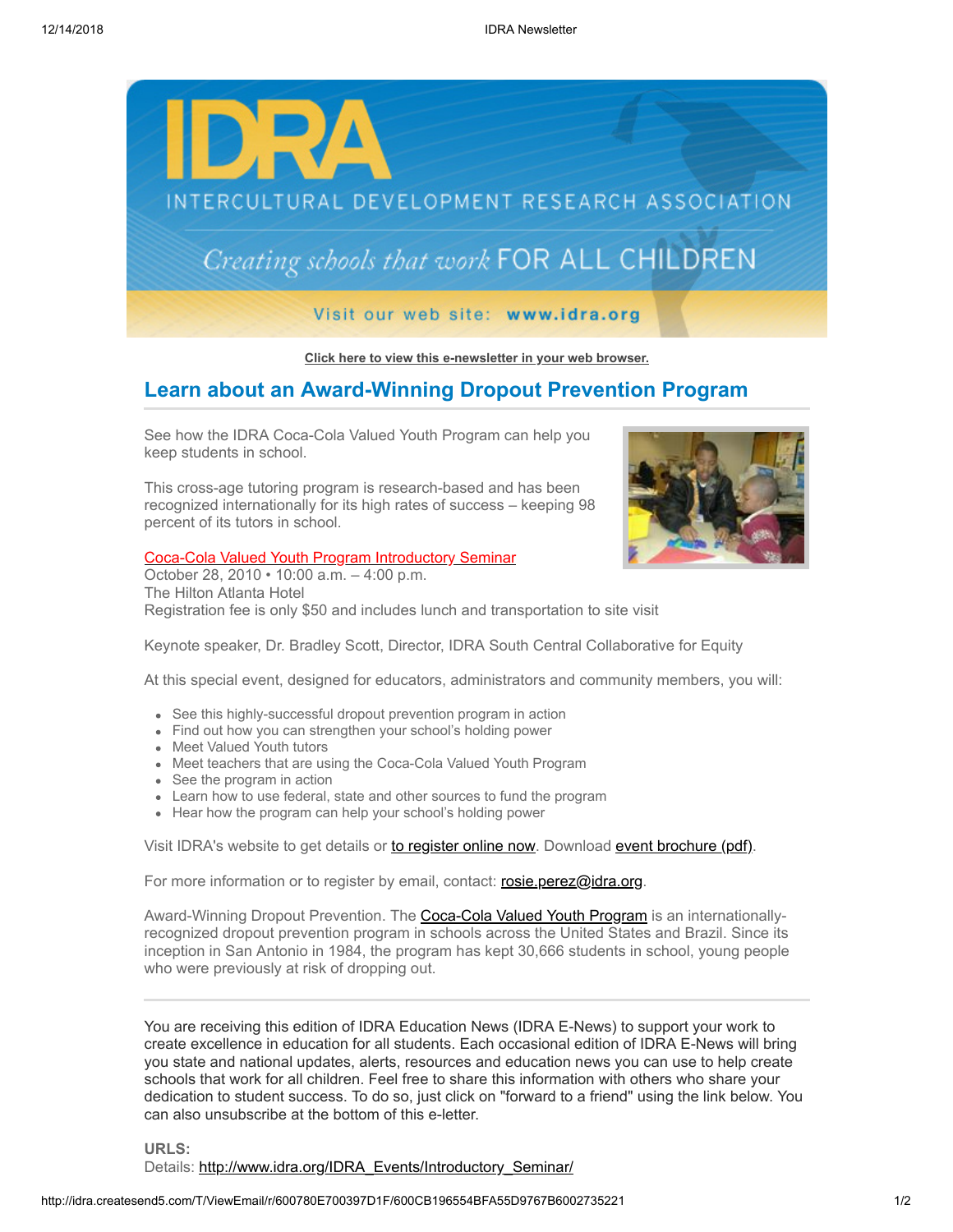

**[Click here to view this e-newsletter in your web browser.](http://idra.createsend1.com/t/r/e/addlid/xlycihk/)**

## **Learn about an Award-Winning Dropout Prevention Program**

See how the IDRA Coca-Cola Valued Youth Program can help you keep students in school.

This cross-age tutoring program is research-based and has been recognized internationally for its high rates of success – keeping 98 percent of its tutors in school.

## [Coca-Cola Valued Youth Program Introductory Seminar](http://idra.createsend1.com/t/r/l/addlid/xlycihk/y)

October 28, 2010 • 10:00 a.m. – 4:00 p.m. The Hilton Atlanta Hotel Registration fee is only \$50 and includes lunch and transportation to site visit

Keynote speaker, Dr. Bradley Scott, Director, IDRA South Central Collaborative for Equity

At this special event, designed for educators, administrators and community members, you will:

- See this highly-successful dropout prevention program in action
- Find out how you can strengthen your school's holding power
- Meet Valued Youth tutors
- Meet teachers that are using the Coca-Cola Valued Youth Program
- See the program in action
- Learn how to use federal, state and other sources to fund the program
- Hear how the program can help your school's holding power

Visit IDRA's website to get details or [to register online now](http://idra.createsend1.com/t/r/l/addlid/xlycihk/j). Download [event brochure \(pdf\).](http://idra.createsend1.com/t/r/l/addlid/xlycihk/t)

For more information or to register by email, contact: [rosie.perez@idra.org](mailto:rosie.perez@idra.org.?subject=Coca-Cola%20Valued%20Youth%20Program%20Introductory%20Seminar).

Award-Winning Dropout Prevention. The **Coca-Cola Valued Youth Program** is an internationallyrecognized dropout prevention program in schools across the United States and Brazil. Since its inception in San Antonio in 1984, the program has kept 30,666 students in school, young people who were previously at risk of dropping out.

You are receiving this edition of IDRA Education News (IDRA E-News) to support your work to create excellence in education for all students. Each occasional edition of IDRA E-News will bring you state and national updates, alerts, resources and education news you can use to help create schools that work for all children. Feel free to share this information with others who share your dedication to student success. To do so, just click on "forward to a friend" using the link below. You can also unsubscribe at the bottom of this e-letter.

**URLS:**

Details: [http://www.idra.org/IDRA\\_Events/Introductory\\_Seminar/](http://idra.createsend1.com/t/r/l/addlid/xlycihk/d)